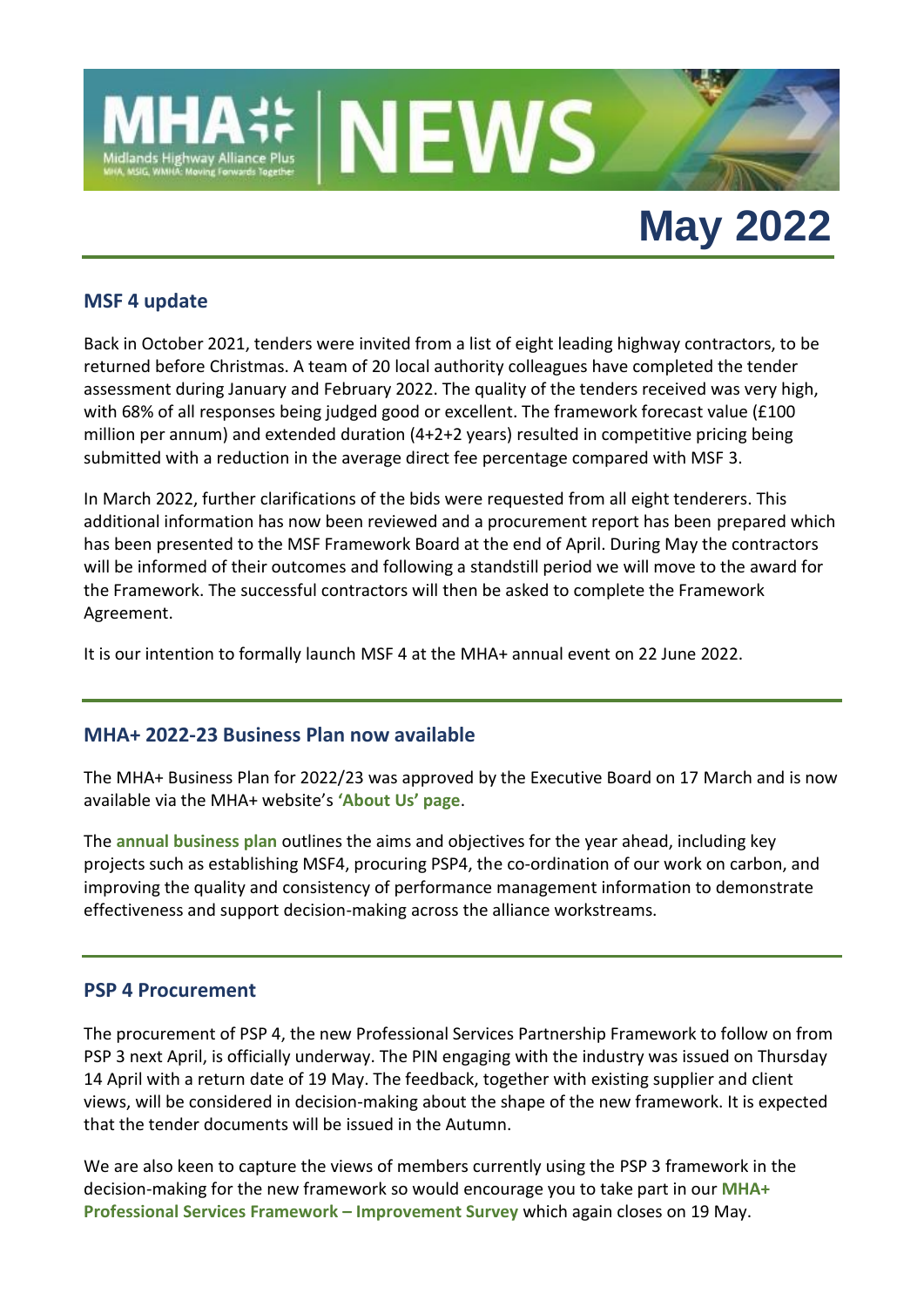

# **May 2022**

## **MSF 4 update**

Back in October 2021, tenders were invited from a list of eight leading highway contractors, to be returned before Christmas. A team of 20 local authority colleagues have completed the tender assessment during January and February 2022. The quality of the tenders received was very high, with 68% of all responses being judged good or excellent. The framework forecast value (£100 million per annum) and extended duration (4+2+2 years) resulted in competitive pricing being submitted with a reduction in the average direct fee percentage compared with MSF 3.

In March 2022, further clarifications of the bids were requested from all eight tenderers. This additional information has now been reviewed and a procurement report has been prepared which has been presented to the MSF Framework Board at the end of April. During May the contractors will be informed of their outcomes and following a standstill period we will move to the award for the Framework. The successful contractors will then be asked to complete the Framework Agreement.

It is our intention to formally launch MSF 4 at the MHA+ annual event on 22 June 2022.

## **MHA+ 2022-23 Business Plan now available**

The MHA+ Business Plan for 2022/23 was approved by the Executive Board on 17 March and is now available via the MHA+ website's **['About Us' page](https://www.mhaplus.org.uk/about-us/)**.

The **[annual business plan](https://www.mhaplus.org.uk/download/business_plans/MHA-Business-plan-2022_23-publish-versionJMc.pdf)** outlines the aims and objectives for the year ahead, including key projects such as establishing MSF4, procuring PSP4, the co-ordination of our work on carbon, and improving the quality and consistency of performance management information to demonstrate effectiveness and support decision-making across the alliance workstreams.

## **PSP 4 Procurement**

The procurement of PSP 4, the new Professional Services Partnership Framework to follow on from PSP 3 next April, is officially underway. The PIN engaging with the industry was issued on Thursday 14 April with a return date of 19 May. The feedback, together with existing supplier and client views, will be considered in decision-making about the shape of the new framework. It is expected that the tender documents will be issued in the Autumn.

We are also keen to capture the views of members currently using the PSP 3 framework in the decision-making for the new framework so would encourage you to take part in our **[MHA+](https://www.menti.com/4qzuz2yx8i)  [Professional Services Framework](https://www.menti.com/4qzuz2yx8i) – Improvement Survey** which again closes on 19 May.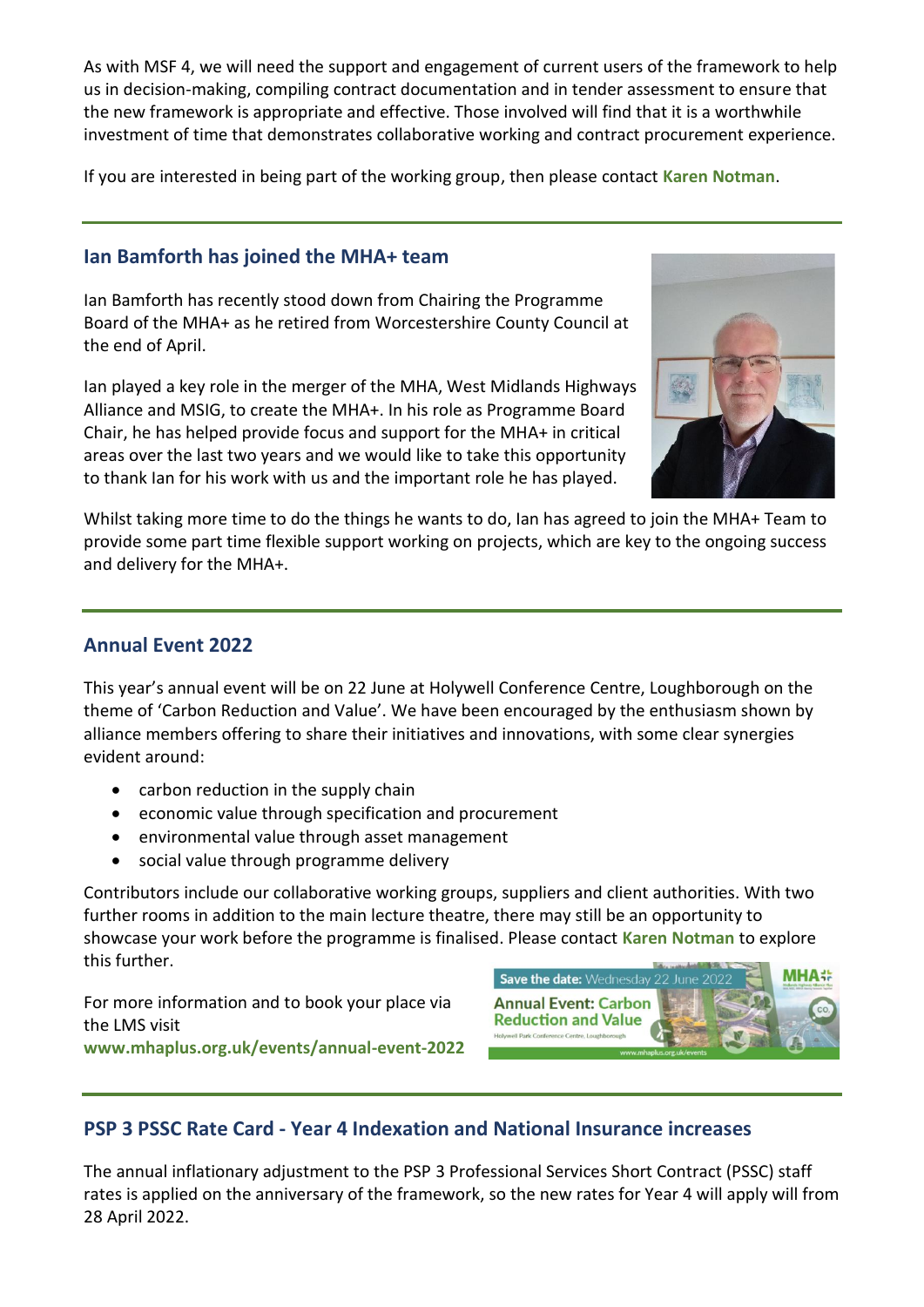As with MSF 4, we will need the support and engagement of current users of the framework to help us in decision-making, compiling contract documentation and in tender assessment to ensure that the new framework is appropriate and effective. Those involved will find that it is a worthwhile investment of time that demonstrates collaborative working and contract procurement experience.

If you are interested in being part of the working group, then please contact **[Karen Notman](mailto:Karen.Notman@leics.gov.uk)**.

# **Ian Bamforth has joined the MHA+ team**

Ian Bamforth has recently stood down from Chairing the Programme Board of the MHA+ as he retired from Worcestershire County Council at the end of April.

Ian played a key role in the merger of the MHA, West Midlands Highways Alliance and MSIG, to create the MHA+. In his role as Programme Board Chair, he has helped provide focus and support for the MHA+ in critical areas over the last two years and we would like to take this opportunity to thank Ian for his work with us and the important role he has played.



Whilst taking more time to do the things he wants to do, Ian has agreed to join the MHA+ Team to provide some part time flexible support working on projects, which are key to the ongoing success and delivery for the MHA+.

## **Annual Event 2022**

This year's annual event will be on 22 June at Holywell Conference Centre, Loughborough on the theme of 'Carbon Reduction and Value'. We have been encouraged by the enthusiasm shown by alliance members offering to share their initiatives and innovations, with some clear synergies evident around:

- carbon reduction in the supply chain
- economic value through specification and procurement
- environmental value through asset management
- social value through programme delivery

Contributors include our collaborative working groups, suppliers and client authorities. With two further rooms in addition to the main lecture theatre, there may still be an opportunity to showcase your work before the programme is finalised. Please contact **[Karen Notman](mailto:Karen.Notman@leics.gov.uk)** to explore this further.

For more information and to book your place via the LMS visit **[www.mhaplus.org.uk/events/annual-event-2022](https://www.mhaplus.org.uk/events/annual-event-2022/)**



# **PSP 3 PSSC Rate Card - Year 4 Indexation and National Insurance increases**

The annual inflationary adjustment to the PSP 3 Professional Services Short Contract (PSSC) staff rates is applied on the anniversary of the framework, so the new rates for Year 4 will apply will from 28 April 2022.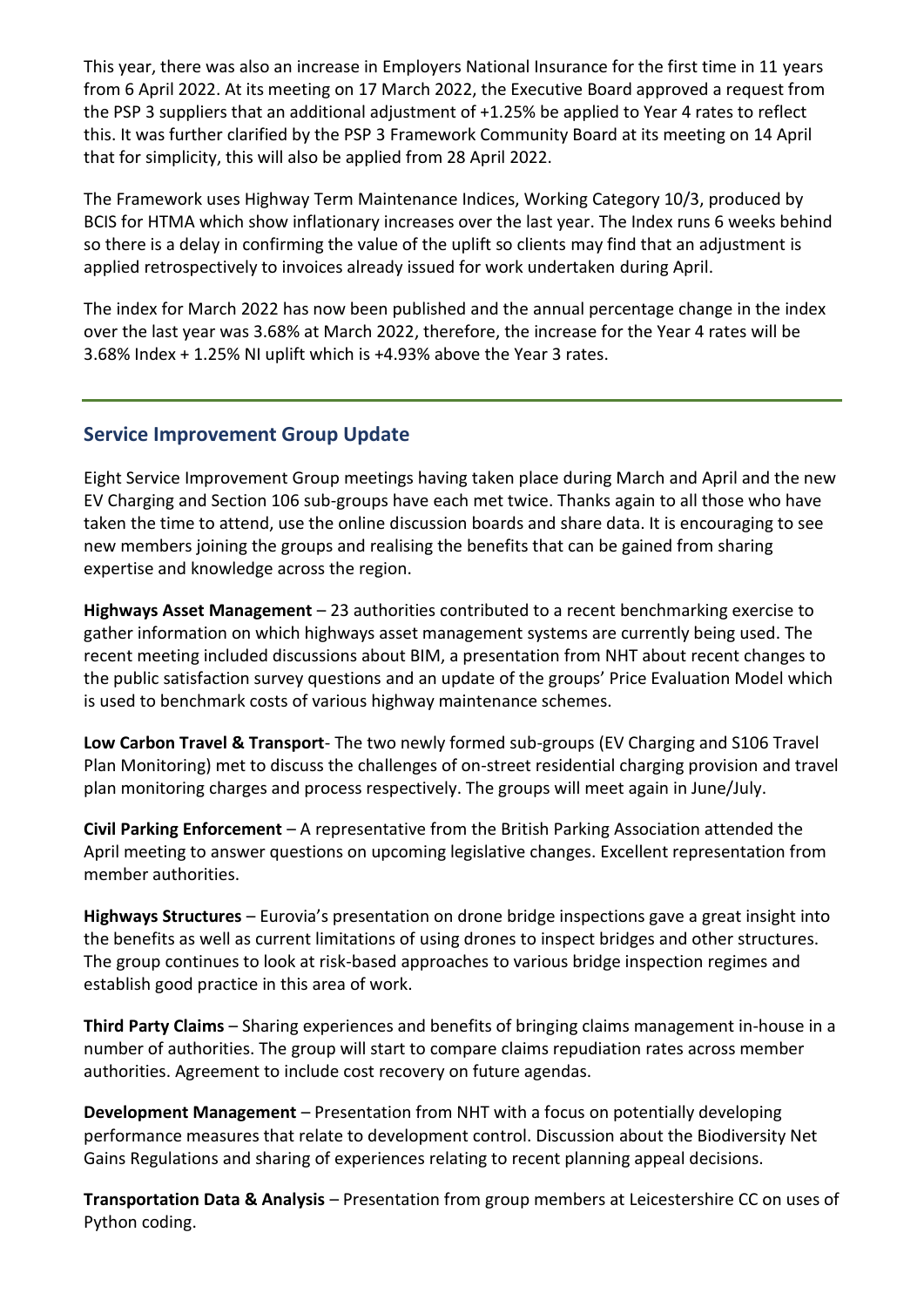This year, there was also an increase in Employers National Insurance for the first time in 11 years from 6 April 2022. At its meeting on 17 March 2022, the Executive Board approved a request from the PSP 3 suppliers that an additional adjustment of +1.25% be applied to Year 4 rates to reflect this. It was further clarified by the PSP 3 Framework Community Board at its meeting on 14 April that for simplicity, this will also be applied from 28 April 2022.

The Framework uses Highway Term Maintenance Indices, Working Category 10/3, produced by BCIS for HTMA which show inflationary increases over the last year. The Index runs 6 weeks behind so there is a delay in confirming the value of the uplift so clients may find that an adjustment is applied retrospectively to invoices already issued for work undertaken during April.

The index for March 2022 has now been published and the annual percentage change in the index over the last year was 3.68% at March 2022, therefore, the increase for the Year 4 rates will be 3.68% Index + 1.25% NI uplift which is +4.93% above the Year 3 rates.

## **Service Improvement Group Update**

Eight Service Improvement Group meetings having taken place during March and April and the new EV Charging and Section 106 sub-groups have each met twice. Thanks again to all those who have taken the time to attend, use the online discussion boards and share data. It is encouraging to see new members joining the groups and realising the benefits that can be gained from sharing expertise and knowledge across the region.

**Highways Asset Management** – 23 authorities contributed to a recent benchmarking exercise to gather information on which highways asset management systems are currently being used. The recent meeting included discussions about BIM, a presentation from NHT about recent changes to the public satisfaction survey questions and an update of the groups' Price Evaluation Model which is used to benchmark costs of various highway maintenance schemes.

**Low Carbon Travel & Transport**- The two newly formed sub-groups (EV Charging and S106 Travel Plan Monitoring) met to discuss the challenges of on-street residential charging provision and travel plan monitoring charges and process respectively. The groups will meet again in June/July.

**Civil Parking Enforcement** – A representative from the British Parking Association attended the April meeting to answer questions on upcoming legislative changes. Excellent representation from member authorities.

**Highways Structures** – Eurovia's presentation on drone bridge inspections gave a great insight into the benefits as well as current limitations of using drones to inspect bridges and other structures. The group continues to look at risk-based approaches to various bridge inspection regimes and establish good practice in this area of work.

**Third Party Claims** – Sharing experiences and benefits of bringing claims management in-house in a number of authorities. The group will start to compare claims repudiation rates across member authorities. Agreement to include cost recovery on future agendas.

**Development Management** – Presentation from NHT with a focus on potentially developing performance measures that relate to development control. Discussion about the Biodiversity Net Gains Regulations and sharing of experiences relating to recent planning appeal decisions.

**Transportation Data & Analysis** – Presentation from group members at Leicestershire CC on uses of Python coding.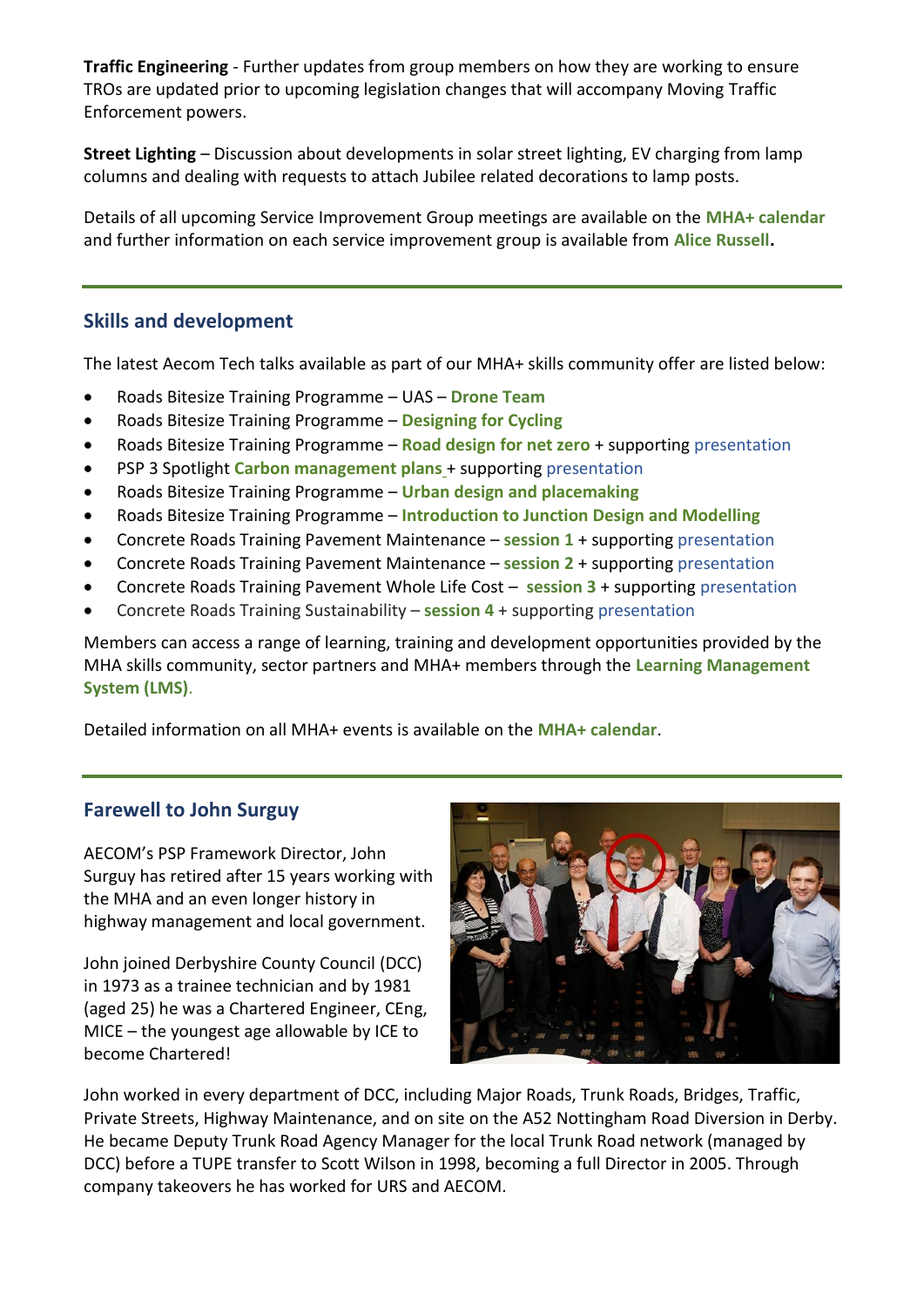**Traffic Engineering** - Further updates from group members on how they are working to ensure TROs are updated prior to upcoming legislation changes that will accompany Moving Traffic Enforcement powers.

**Street Lighting** – Discussion about developments in solar street lighting, EV charging from lamp columns and dealing with requests to attach Jubilee related decorations to lamp posts.

Details of all upcoming Service Improvement Group meetings are available on the **[MHA+ calendar](https://www.mhaplus.org.uk/calendar/)** and further information on each service improvement group is available from **[Alice Russell.](mailto:alice.russell@derbyshire.gov.uk)**

## **Skills and development**

The latest Aecom Tech talks available as part of our MHA+ skills community offer are listed below:

- Roads Bitesize Training Programme UAS **[Drone Team](https://youtu.be/BBbW7G00xHc)**
- Roads Bitesize Training Programme **[Designing for Cycling](https://youtu.be/ggKU29RwUao)**
- Roads Bitesize Training Programme **[Road design for net zero](https://youtu.be/96FDx6PBEiw)** + supporting [presentation](https://www.mhaplus.org.uk/download/climate_change/Roads-Bitesize-Road-Design-for-NetZero-and-climate-change-080322c.pdf)
- PSP 3 Spotlight **[Carbon management plans](https://youtu.be/IXHHDU5Bzvc)** + supporting [presentation](https://www.mhaplus.org.uk/download/carbon_management_and_reduction/MH3-PSP-Spotlight-Carbon-Management-Plans.pdf)
- Roads Bitesize Training Programme **[Urban design and placemaking](https://youtu.be/LpwFRVUS9sw)**
- Roads Bitesize Training Programme **[Introduction to Junction Design and Modelling](https://youtu.be/w28rTpGSJT4)**
- Concrete Roads Training Pavement Maintenance **[session 1](https://youtu.be/zp6352xkZrw)** + supporting [presentation](https://www.mhaplus.org.uk/download/asset_standards_and_commodities/aecom_-_concrete_roads_content/AECOM-Concrete-Pavement-Maintenance-Session-1-ppt.pdf)
- Concrete Roads Training Pavement Maintenance **[session 2](https://youtu.be/L8QU20HEiJk)** + supporting [presentation](https://www.mhaplus.org.uk/download/asset_standards_and_commodities/aecom_-_concrete_roads_content/AECOM-Concrete-Pavement-Maintenance-Session-2-ppt.pdf)
- Concrete Roads Training Pavement Whole Life Cost **[session 3](https://youtu.be/T9I1ce8LJjA)** + supporting [presentation](https://www.mhaplus.org.uk/download/asset_standards_and_commodities/aecom_-_concrete_roads_content/AECOM-Pavement-Whole-Life-Cost-Session-3-ppt.pdf)
- Concrete Roads Training Sustainability **[session 4](https://youtu.be/lGHiEw4zTBo)** + supporting [presentation](https://www.mhaplus.org.uk/download/asset_standards_and_commodities/aecom_-_concrete_roads_content/AECOM-Concrete-Roads-Sustainability-Session-4-ppt.pdf)

Members can access a range of learning, training and development opportunities provided by the MHA skills community, sector partners and MHA+ members through the **[Learning Management](https://www.mhaplus.org.uk/work-streams/skills-academy/learning-and-development/learning-management-system/)  [System \(LMS\)](https://www.mhaplus.org.uk/work-streams/skills-academy/learning-and-development/learning-management-system/)**.

Detailed information on all MHA+ events is available on the **[MHA+ calendar](https://www.mhaplus.org.uk/calendar/)**.

## **Farewell to John Surguy**

AECOM's PSP Framework Director, John Surguy has retired after 15 years working with the MHA and an even longer history in highway management and local government.

John joined Derbyshire County Council (DCC) in 1973 as a trainee technician and by 1981 (aged 25) he was a Chartered Engineer, CEng, MICE – the youngest age allowable by ICE to become Chartered!



John worked in every department of DCC, including Major Roads, Trunk Roads, Bridges, Traffic, Private Streets, Highway Maintenance, and on site on the A52 Nottingham Road Diversion in Derby. He became Deputy Trunk Road Agency Manager for the local Trunk Road network (managed by DCC) before a TUPE transfer to Scott Wilson in 1998, becoming a full Director in 2005. Through company takeovers he has worked for URS and AECOM.